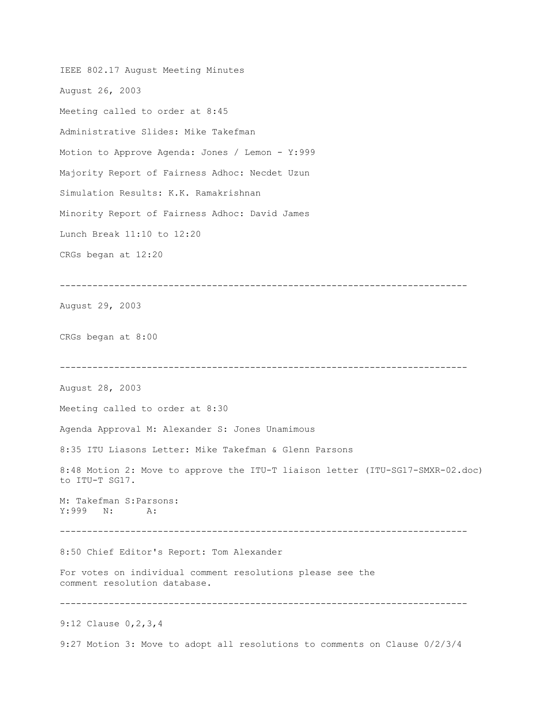IEEE 802.17 August Meeting Minutes August 26, 2003 Meeting called to order at 8:45 Administrative Slides: Mike Takefman Motion to Approve Agenda: Jones / Lemon - Y:999 Majority Report of Fairness Adhoc: Necdet Uzun Simulation Results: K.K. Ramakrishnan Minority Report of Fairness Adhoc: David James Lunch Break 11:10 to 12:20 CRGs began at 12:20 --------------------------------------------------------------------------- August 29, 2003 CRGs began at 8:00 --------------------------------------------------------------------------- August 28, 2003 Meeting called to order at 8:30 Agenda Approval M: Alexander S: Jones Unamimous 8:35 ITU Liasons Letter: Mike Takefman & Glenn Parsons 8:48 Motion 2: Move to approve the ITU-T liaison letter (ITU-SG17-SMXR-02.doc) to ITU-T SG17. M: Takefman S:Parsons: Y:999 N: A: --------------------------------------------------------------------------- 8:50 Chief Editor's Report: Tom Alexander For votes on individual comment resolutions please see the comment resolution database. --------------------------------------------------------------------------- 9:12 Clause 0,2,3,4 9:27 Motion 3: Move to adopt all resolutions to comments on Clause 0/2/3/4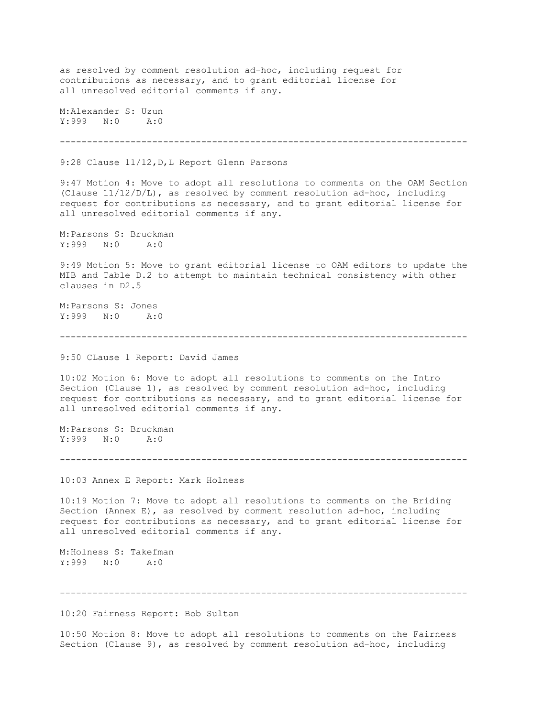as resolved by comment resolution ad-hoc, including request for contributions as necessary, and to grant editorial license for all unresolved editorial comments if any. M:Alexander S: Uzun Y:999 N:0 A:0 --------------------------------------------------------------------------- 9:28 Clause 11/12, D, L Report Glenn Parsons 9:47 Motion 4: Move to adopt all resolutions to comments on the OAM Section (Clause 11/12/D/L), as resolved by comment resolution ad-hoc, including request for contributions as necessary, and to grant editorial license for all unresolved editorial comments if any. M:Parsons S: Bruckman Y:999 N:0 A:0 9:49 Motion 5: Move to grant editorial license to OAM editors to update the MIB and Table D.2 to attempt to maintain technical consistency with other clauses in D2.5 M:Parsons S: Jones Y:999 N:0 A:0 --------------------------------------------------------------------------- 9:50 CLause 1 Report: David James 10:02 Motion 6: Move to adopt all resolutions to comments on the Intro Section (Clause 1), as resolved by comment resolution ad-hoc, including request for contributions as necessary, and to grant editorial license for all unresolved editorial comments if any. M:Parsons S: Bruckman Y:999 N:0 A:0 --------------------------------------------------------------------------- 10:03 Annex E Report: Mark Holness 10:19 Motion 7: Move to adopt all resolutions to comments on the Briding Section (Annex E), as resolved by comment resolution ad-hoc, including request for contributions as necessary, and to grant editorial license for all unresolved editorial comments if any. M:Holness S: Takefman Y:999 N:0 A:0 --------------------------------------------------------------------------- 10:20 Fairness Report: Bob Sultan

10:50 Motion 8: Move to adopt all resolutions to comments on the Fairness Section (Clause 9), as resolved by comment resolution ad-hoc, including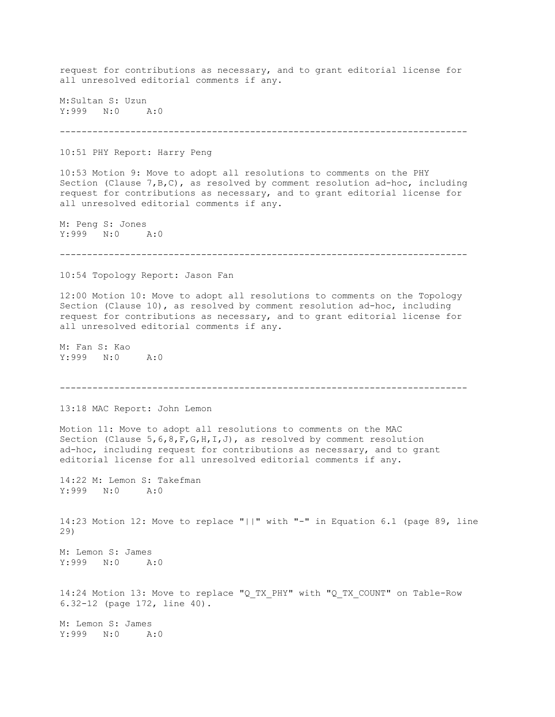request for contributions as necessary, and to grant editorial license for all unresolved editorial comments if any. M:Sultan S: Uzun Y:999 N:0 A:0 --------------------------------------------------------------------------- 10:51 PHY Report: Harry Peng 10:53 Motion 9: Move to adopt all resolutions to comments on the PHY Section (Clause 7,B,C), as resolved by comment resolution ad-hoc, including request for contributions as necessary, and to grant editorial license for all unresolved editorial comments if any. M: Peng S: Jones Y:999 N:0 A:0 --------------------------------------------------------------------------- 10:54 Topology Report: Jason Fan 12:00 Motion 10: Move to adopt all resolutions to comments on the Topology Section (Clause 10), as resolved by comment resolution ad-hoc, including request for contributions as necessary, and to grant editorial license for all unresolved editorial comments if any. M: Fan S: Kao Y:999 N:0 A:0 --------------------------------------------------------------------------- 13:18 MAC Report: John Lemon Motion 11: Move to adopt all resolutions to comments on the MAC Section (Clause  $5, 6, 8, F, G, H, I, J$ ), as resolved by comment resolution ad-hoc, including request for contributions as necessary, and to grant editorial license for all unresolved editorial comments if any. 14:22 M: Lemon S: Takefman Y:999 N:0 A:0 14:23 Motion 12: Move to replace "||" with "-" in Equation 6.1 (page 89, line 29) M: Lemon S: James Y:999 N:0 A:0 14:24 Motion 13: Move to replace "Q\_TX\_PHY" with "Q\_TX\_COUNT" on Table-Row 6.32-12 (page 172, line 40). M: Lemon S: James Y:999 N:0 A:0